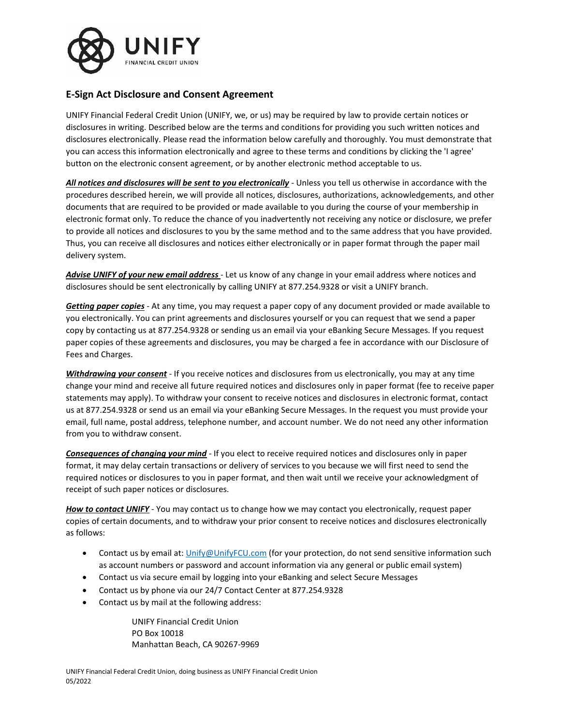

# **E-Sign Act Disclosure and Consent Agreement**

UNIFY Financial Federal Credit Union (UNIFY, we, or us) may be required by law to provide certain notices or disclosures in writing. Described below are the terms and conditions for providing you such written notices and disclosures electronically. Please read the information below carefully and thoroughly. You must demonstrate that you can access this information electronically and agree to these terms and conditions by clicking the 'I agree' button on the electronic consent agreement, or by another electronic method acceptable to us.

*All notices and disclosures will be sent to you electronically* - Unless you tell us otherwise in accordance with the procedures described herein, we will provide all notices, disclosures, authorizations, acknowledgements, and other documents that are required to be provided or made available to you during the course of your membership in electronic format only. To reduce the chance of you inadvertently not receiving any notice or disclosure, we prefer to provide all notices and disclosures to you by the same method and to the same address that you have provided. Thus, you can receive all disclosures and notices either electronically or in paper format through the paper mail delivery system.

*Advise UNIFY of your new email address* - Let us know of any change in your email address where notices and disclosures should be sent electronically by calling UNIFY at 877.254.9328 or visit a UNIFY branch.

*Getting paper copies* - At any time, you may request a paper copy of any document provided or made available to you electronically. You can print agreements and disclosures yourself or you can request that we send a paper copy by contacting us at 877.254.9328 or sending us an email via your eBanking Secure Messages. If you request paper copies of these agreements and disclosures, you may be charged a fee in accordance with our Disclosure of Fees and Charges.

*Withdrawing your consent* - If you receive notices and disclosures from us electronically, you may at any time change your mind and receive all future required notices and disclosures only in paper format (fee to receive paper statements may apply). To withdraw your consent to receive notices and disclosures in electronic format, contact us at 877.254.9328 or send us an email via your eBanking Secure Messages. In the request you must provide your email, full name, postal address, telephone number, and account number. We do not need any other information from you to withdraw consent.

*Consequences of changing your mind* - If you elect to receive required notices and disclosures only in paper format, it may delay certain transactions or delivery of services to you because we will first need to send the required notices or disclosures to you in paper format, and then wait until we receive your acknowledgment of receipt of such paper notices or disclosures.

*How to contact UNIFY* - You may contact us to change how we may contact you electronically, request paper copies of certain documents, and to withdraw your prior consent to receive notices and disclosures electronically as follows:

- Contact us by email at: [Unify@UnifyFCU.com](mailto:Unify@UnifyFCU.com) (for your protection, do not send sensitive information such as account numbers or password and account information via any general or public email system)
- Contact us via secure email by logging into your eBanking and select Secure Messages
- Contact us by phone via our 24/7 Contact Center at 877.254.9328
- Contact us by mail at the following address:

UNIFY Financial Credit Union PO Box 10018 Manhattan Beach, CA 90267-9969